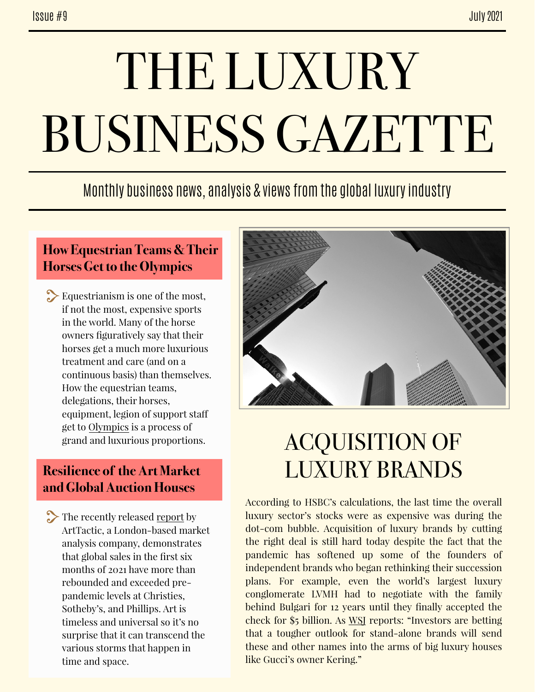# THE LUXURY BUSINESS GAZETTE

### Monthly business news, analysis & views from the global luxury industry

#### **How Equestrian Teams & Their Horses Get to the Olympics**

Equestrianism is one of the most, if not the most, expensive sports in the world. Many of the horse owners figuratively say that their horses get a much more luxurious treatment and care (and on a continuous basis) than themselves. How the equestrian teams, delegations, their horses, equipment, legion of support staf get to [Olympics](https://www.forbes.com/sites/brettknight/2021/07/23/a-puzzle-before-the-games-how-equestrian-teams-and-their-horses-get-to-the-olympics/?sh=50238ffd4fbf) is a process of grand and luxurious proportions.

#### **Resilience of the Art Market and Global Auction Houses**

The recently released [report](https://www.barrons.com/articles/global-auction-sales-at-major-houses-have-rebounded-to-pre-pandemic-levels-01625687185) by ArtTactic, a London-based market analysis company, demonstrates that global sales in the first six months of 2021 have more than rebounded and exceeded prepandemic levels at Christies, Sotheby's, and Phillips. Art is timeless and universal so it's no surprise that it can transcend the various storms that happen in time and space.



## ACQUISITION OF LUXURY BRANDS

According to HSBC's calculations, the last time the overall luxury sector's stocks were as expensive was during the dot-com bubble. Acquisition of luxury brands by cutting the right deal is still hard today despite the fact that the pandemic has softened up some of the founders of independent brands who began rethinking their succession plans. For example, even the world's largest luxury conglomerate LVMH had to negotiate with the family behind Bulgari for 12 years until they finally accepted the check for \$5 billion. As [WSJ](https://www-wsj-com.cdn.ampproject.org/c/s/www.wsj.com/amp/articles/shopping-for-high-end-brands-is-harder-than-it-lookseven-if-youre-a-luxury-giant-like-lvmh-11625183876) reports: "Investors are betting that a tougher outlook for stand-alone brands will send these and other names into the arms of big luxury houses like Gucci's owner Kering."